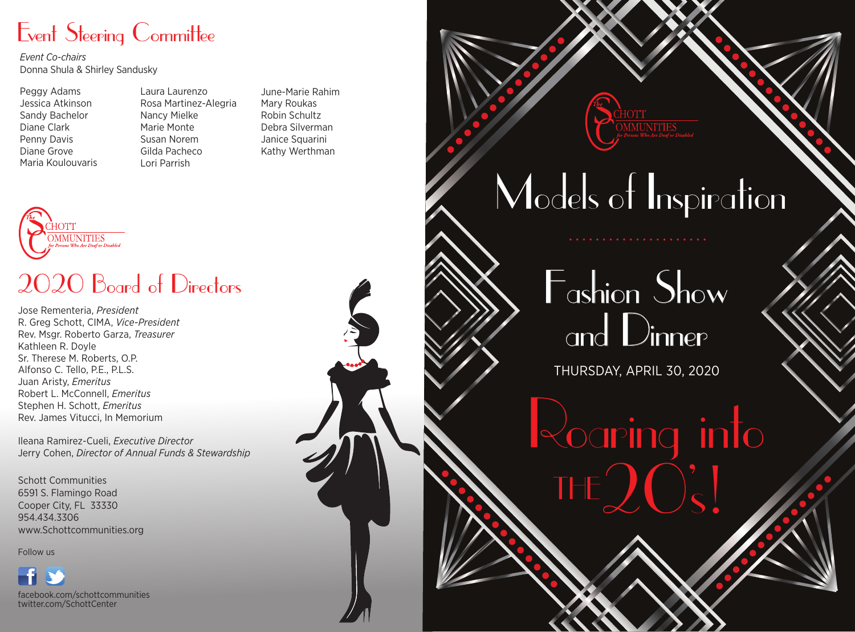### Event Steering Committee

*Event Co-chairs* Donna Shula & Shirley Sandusky

Peggy Adams Jessica Atkinson Sandy Bachelor Diane Clark Penny Davis Diane Grove Maria Koulouvaris Laura Laurenzo Rosa Martinez-Alegria Nancy Mielke Marie Monte Susan Norem Gilda Pacheco Lori Parrish

June-Marie Rahim Mary Roukas Robin Schultz Debra Silverman Janice Squarini Kathy Werthman



### 2020 Board of Directors

Jose Rementeria, *President* R. Greg Schott, CIMA, *Vice-President*  Rev. Msgr. Roberto Garza, *Treasurer* Kathleen R. Doyle Sr. Therese M. Roberts, O.P. Alfonso C. Tello, P.E., P.L.S. Juan Aristy, *Emeritus* Robert L. McConnell, *Emeritus* Stephen H. Schott, *Emeritus* Rev. James Vitucci, In Memorium

Ileana Ramirez-Cueli, *Executive Director* Jerry Cohen, *Director of Annual Funds & Stewardship*

Schott Communities 6591 S. Flamingo Road Cooper City, FL 33330 954.434.3306 www.Schottcommunities.org

Follow us

facebook.com/schottcommunities twitter.com/SchottCenter

## Models of Inspiration

## Fashion Show and Dinner

THURSDAY, APRIL 30, 2020

Roaring into THE  $Q(\zeta)$